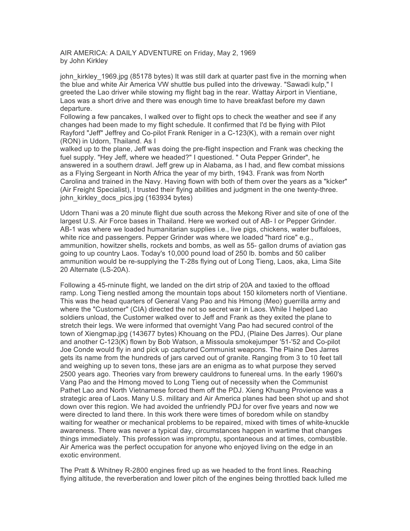AIR AMERICA: A DAILY ADVENTURE on Friday, May 2, 1969 by John Kirkley

john kirkley 1969.jpg (85178 bytes) It was still dark at quarter past five in the morning when the blue and white Air America VW shuttle bus pulled into the driveway. "Sawadi kulp," I greeted the Lao driver while stowing my flight bag in the rear. Wattay Airport in Vientiane, Laos was a short drive and there was enough time to have breakfast before my dawn departure.

Following a few pancakes, I walked over to flight ops to check the weather and see if any changes had been made to my flight schedule. It confirmed that I'd be flying with Pilot Rayford "Jeff" Jeffrey and Co-pilot Frank Reniger in a C-123(K), with a remain over night (RON) in Udorn, Thailand. As I

walked up to the plane, Jeff was doing the pre-flight inspection and Frank was checking the fuel supply. "Hey Jeff, where we headed?" I questioned. " Outa Pepper Grinder", he answered in a southern drawl. Jeff grew up in Alabama, as I had, and flew combat missions as a Flying Sergeant in North Africa the year of my birth, 1943. Frank was from North Carolina and trained in the Navy. Having flown with both of them over the years as a "kicker" (Air Freight Specialist), I trusted their flying abilities and judgment in the one twenty-three. john kirkley docs pics.jpg (163934 bytes)

Udorn Thani was a 20 minute flight due south across the Mekong River and site of one of the largest U.S. Air Force bases in Thailand. Here we worked out of AB- I or Pepper Grinder. AB-1 was where we loaded humanitarian supplies i.e., live pigs, chickens, water buffaloes, white rice and passengers. Pepper Grinder was where we loaded "hard rice" e.g., ammunition, howitzer shells, rockets and bombs, as well as 55- gallon drums of aviation gas going to up country Laos. Today's 10,000 pound load of 250 lb. bombs and 50 caliber ammunition would be re-supplying the T-28s flying out of Long Tieng, Laos, aka, Lima Site 20 Alternate (LS-20A).

Following a 45-rninute flight, we landed on the dirt strip of 20A and taxied to the offload ramp. Long Tieng nestled among the mountain tops about 150 kilometers north of Vientiane. This was the head quarters of General Vang Pao and his Hmong (Meo) guerrilla army and where the "Customer" (CIA) directed the not so secret war in Laos. While I helped Lao soldiers unload, the Customer walked over to Jeff and Frank as they exited the plane to stretch their legs. We were informed that overnight Vang Pao had secured control of the town of Xiengmap.jpg (143677 bytes) Khouang on the PDJ, (Plaine Des Jarres). Our plane and another C-123(K) flown by Bob Watson, a Missoula smokejumper '51-'52 and Co-pilot Joe Conde would fly in and pick up captured Communist weapons. The Plaine Des Jarres gets its name from the hundreds of jars carved out of granite. Ranging from 3 to 10 feet tall and weighing up to seven tons, these jars are an enigma as to what purpose they served 2500 years ago. Theories vary from brewery cauldrons to funereal urns. In the early 1960's Vang Pao and the Hmong moved to Long Tieng out of necessity when the Communist Pathet Lao and North Vietnamese forced them off the PDJ. Xieng Khuang Provience was a strategic area of Laos. Many U.S. military and Air America planes had been shot up and shot down over this region. We had avoided the unfriendly PDJ for over five years and now we were directed to land there. In this work there were times of boredom while on standby waiting for weather or mechanical problems to be repaired, mixed with times of white-knuckle awareness. There was never a typical day, circumstances happen in wartime that changes things immediately. This profession was impromptu, spontaneous and at times, combustible. Air America was the perfect occupation for anyone who enjoyed living on the edge in an exotic environment.

The Pratt & Whitney R-2800 engines fired up as we headed to the front lines. Reaching flying altitude, the reverberation and lower pitch of the engines being throttled back lulled me